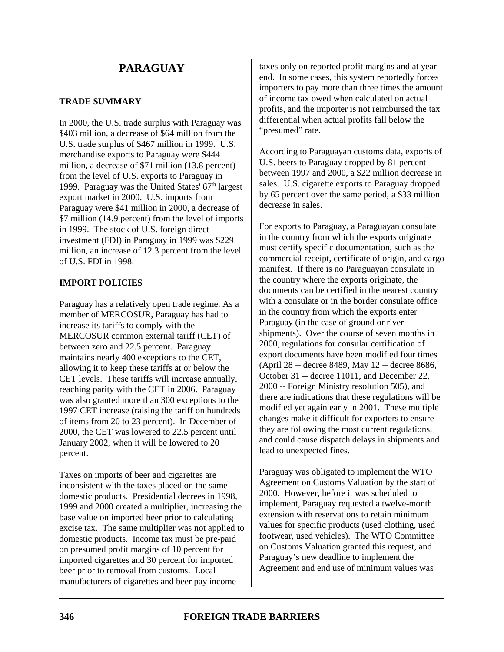## **TRADE SUMMARY**

In 2000, the U.S. trade surplus with Paraguay was \$403 million, a decrease of \$64 million from the U.S. trade surplus of \$467 million in 1999. U.S. merchandise exports to Paraguay were \$444 million, a decrease of \$71 million (13.8 percent) from the level of U.S. exports to Paraguay in 1999. Paraguay was the United States'  $67<sup>th</sup>$  largest export market in 2000. U.S. imports from Paraguay were \$41 million in 2000, a decrease of \$7 million (14.9 percent) from the level of imports in 1999. The stock of U.S. foreign direct investment (FDI) in Paraguay in 1999 was \$229 million, an increase of 12.3 percent from the level of U.S. FDI in 1998.

## **IMPORT POLICIES**

Paraguay has a relatively open trade regime. As a member of MERCOSUR, Paraguay has had to increase its tariffs to comply with the MERCOSUR common external tariff (CET) of between zero and 22.5 percent. Paraguay maintains nearly 400 exceptions to the CET, allowing it to keep these tariffs at or below the CET levels. These tariffs will increase annually, reaching parity with the CET in 2006. Paraguay was also granted more than 300 exceptions to the 1997 CET increase (raising the tariff on hundreds of items from 20 to 23 percent). In December of 2000, the CET was lowered to 22.5 percent until January 2002, when it will be lowered to 20 percent.

Taxes on imports of beer and cigarettes are inconsistent with the taxes placed on the same domestic products. Presidential decrees in 1998, 1999 and 2000 created a multiplier, increasing the base value on imported beer prior to calculating excise tax. The same multiplier was not applied to domestic products. Income tax must be pre-paid on presumed profit margins of 10 percent for imported cigarettes and 30 percent for imported beer prior to removal from customs. Local manufacturers of cigarettes and beer pay income

taxes only on reported profit margins and at yearend. In some cases, this system reportedly forces importers to pay more than three times the amount of income tax owed when calculated on actual profits, and the importer is not reimbursed the tax differential when actual profits fall below the "presumed" rate.

According to Paraguayan customs data, exports of U.S. beers to Paraguay dropped by 81 percent between 1997 and 2000, a \$22 million decrease in sales. U.S. cigarette exports to Paraguay dropped by 65 percent over the same period, a \$33 million decrease in sales.

For exports to Paraguay, a Paraguayan consulate in the country from which the exports originate must certify specific documentation, such as the commercial receipt, certificate of origin, and cargo manifest. If there is no Paraguayan consulate in the country where the exports originate, the documents can be certified in the nearest country with a consulate or in the border consulate office in the country from which the exports enter Paraguay (in the case of ground or river shipments). Over the course of seven months in 2000, regulations for consular certification of export documents have been modified four times (April 28 -- decree 8489, May 12 -- decree 8686, October 31 -- decree 11011, and December 22, 2000 -- Foreign Ministry resolution 505), and there are indications that these regulations will be modified yet again early in 2001. These multiple changes make it difficult for exporters to ensure they are following the most current regulations, and could cause dispatch delays in shipments and lead to unexpected fines.

Paraguay was obligated to implement the WTO Agreement on Customs Valuation by the start of 2000. However, before it was scheduled to implement, Paraguay requested a twelve-month extension with reservations to retain minimum values for specific products (used clothing, used footwear, used vehicles). The WTO Committee on Customs Valuation granted this request, and Paraguay's new deadline to implement the Agreement and end use of minimum values was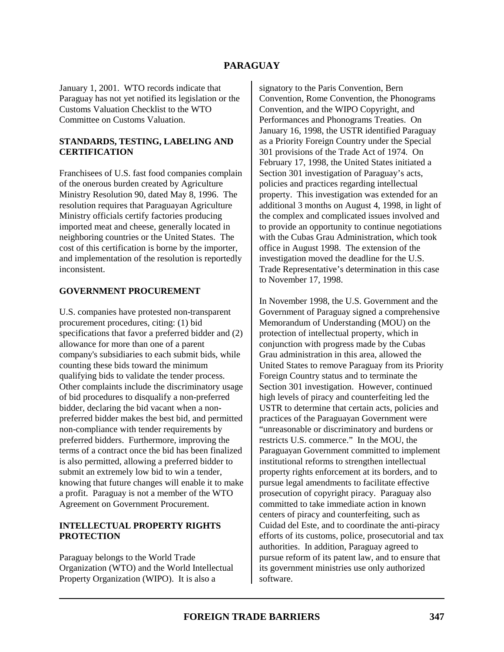January 1, 2001. WTO records indicate that Paraguay has not yet notified its legislation or the Customs Valuation Checklist to the WTO Committee on Customs Valuation.

#### **STANDARDS, TESTING, LABELING AND CERTIFICATION**

Franchisees of U.S. fast food companies complain of the onerous burden created by Agriculture Ministry Resolution 90, dated May 8, 1996. The resolution requires that Paraguayan Agriculture Ministry officials certify factories producing imported meat and cheese, generally located in neighboring countries or the United States. The cost of this certification is borne by the importer, and implementation of the resolution is reportedly inconsistent.

#### **GOVERNMENT PROCUREMENT**

U.S. companies have protested non-transparent procurement procedures, citing: (1) bid specifications that favor a preferred bidder and (2) allowance for more than one of a parent company's subsidiaries to each submit bids, while counting these bids toward the minimum qualifying bids to validate the tender process. Other complaints include the discriminatory usage of bid procedures to disqualify a non-preferred bidder, declaring the bid vacant when a nonpreferred bidder makes the best bid, and permitted non-compliance with tender requirements by preferred bidders. Furthermore, improving the terms of a contract once the bid has been finalized is also permitted, allowing a preferred bidder to submit an extremely low bid to win a tender, knowing that future changes will enable it to make a profit. Paraguay is not a member of the WTO Agreement on Government Procurement.

## **INTELLECTUAL PROPERTY RIGHTS PROTECTION**

Paraguay belongs to the World Trade Organization (WTO) and the World Intellectual Property Organization (WIPO). It is also a

signatory to the Paris Convention, Bern Convention, Rome Convention, the Phonograms Convention, and the WIPO Copyright, and Performances and Phonograms Treaties. On January 16, 1998, the USTR identified Paraguay as a Priority Foreign Country under the Special 301 provisions of the Trade Act of 1974. On February 17, 1998, the United States initiated a Section 301 investigation of Paraguay's acts, policies and practices regarding intellectual property. This investigation was extended for an additional 3 months on August 4, 1998, in light of the complex and complicated issues involved and to provide an opportunity to continue negotiations with the Cubas Grau Administration, which took office in August 1998. The extension of the investigation moved the deadline for the U.S. Trade Representative's determination in this case to November 17, 1998.

In November 1998, the U.S. Government and the Government of Paraguay signed a comprehensive Memorandum of Understanding (MOU) on the protection of intellectual property, which in conjunction with progress made by the Cubas Grau administration in this area, allowed the United States to remove Paraguay from its Priority Foreign Country status and to terminate the Section 301 investigation. However, continued high levels of piracy and counterfeiting led the USTR to determine that certain acts, policies and practices of the Paraguayan Government were "unreasonable or discriminatory and burdens or restricts U.S. commerce." In the MOU, the Paraguayan Government committed to implement institutional reforms to strengthen intellectual property rights enforcement at its borders, and to pursue legal amendments to facilitate effective prosecution of copyright piracy. Paraguay also committed to take immediate action in known centers of piracy and counterfeiting, such as Cuidad del Este, and to coordinate the anti-piracy efforts of its customs, police, prosecutorial and tax authorities. In addition, Paraguay agreed to pursue reform of its patent law, and to ensure that its government ministries use only authorized software.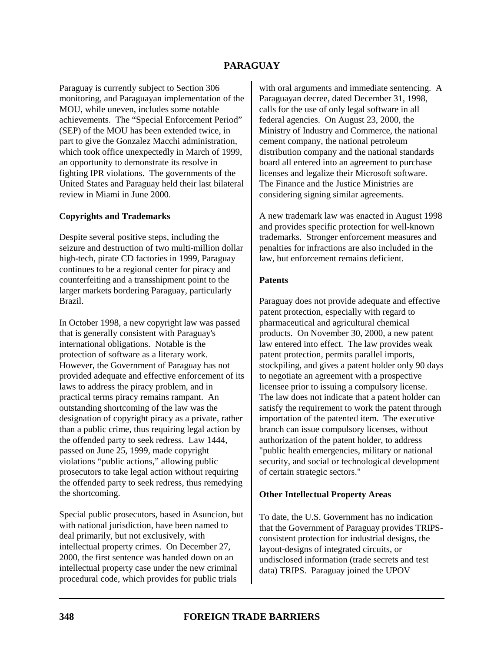Paraguay is currently subject to Section 306 monitoring, and Paraguayan implementation of the MOU, while uneven, includes some notable achievements. The "Special Enforcement Period" (SEP) of the MOU has been extended twice, in part to give the Gonzalez Macchi administration, which took office unexpectedly in March of 1999, an opportunity to demonstrate its resolve in fighting IPR violations. The governments of the United States and Paraguay held their last bilateral review in Miami in June 2000.

#### **Copyrights and Trademarks**

Despite several positive steps, including the seizure and destruction of two multi-million dollar high-tech, pirate CD factories in 1999, Paraguay continues to be a regional center for piracy and counterfeiting and a transshipment point to the larger markets bordering Paraguay, particularly Brazil.

In October 1998, a new copyright law was passed that is generally consistent with Paraguay's international obligations. Notable is the protection of software as a literary work. However, the Government of Paraguay has not provided adequate and effective enforcement of its laws to address the piracy problem, and in practical terms piracy remains rampant. An outstanding shortcoming of the law was the designation of copyright piracy as a private, rather than a public crime, thus requiring legal action by the offended party to seek redress. Law 1444, passed on June 25, 1999, made copyright violations "public actions," allowing public prosecutors to take legal action without requiring the offended party to seek redress, thus remedying the shortcoming.

Special public prosecutors, based in Asuncion, but with national jurisdiction, have been named to deal primarily, but not exclusively, with intellectual property crimes. On December 27, 2000, the first sentence was handed down on an intellectual property case under the new criminal procedural code, which provides for public trials

with oral arguments and immediate sentencing. A Paraguayan decree, dated December 31, 1998, calls for the use of only legal software in all federal agencies. On August 23, 2000, the Ministry of Industry and Commerce, the national cement company, the national petroleum distribution company and the national standards board all entered into an agreement to purchase licenses and legalize their Microsoft software. The Finance and the Justice Ministries are considering signing similar agreements.

A new trademark law was enacted in August 1998 and provides specific protection for well-known trademarks. Stronger enforcement measures and penalties for infractions are also included in the law, but enforcement remains deficient.

## **Patents**

Paraguay does not provide adequate and effective patent protection, especially with regard to pharmaceutical and agricultural chemical products. On November 30, 2000, a new patent law entered into effect. The law provides weak patent protection, permits parallel imports, stockpiling, and gives a patent holder only 90 days to negotiate an agreement with a prospective licensee prior to issuing a compulsory license. The law does not indicate that a patent holder can satisfy the requirement to work the patent through importation of the patented item. The executive branch can issue compulsory licenses, without authorization of the patent holder, to address "public health emergencies, military or national security, and social or technological development of certain strategic sectors."

#### **Other Intellectual Property Areas**

To date, the U.S. Government has no indication that the Government of Paraguay provides TRIPSconsistent protection for industrial designs, the layout-designs of integrated circuits, or undisclosed information (trade secrets and test data) TRIPS. Paraguay joined the UPOV